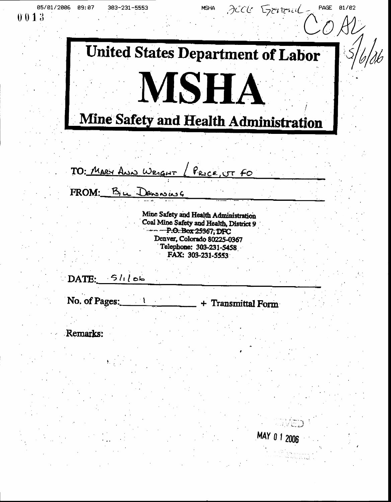PAGE 01/02 JECK Gravenal 05/01/2006 09:07 **MSHA** 303-231-5553 **United States Department of Labor MSHA** Mine Safety and Health Administration

TO: MARY ANN WRIGHT (PRICE, UT FO

FROM: BILL DENSIONS

Mine Safety and Health Administration Coal Mine Safety and Health, District 9 - P.O. Box 25367, DFC Denver, Colorado 80225-0367 Telephone: 303-231-5458 FAX: 303-231-5553

 $\text{DATE:} 51100$ 

No. of Pages:

+ Transmittal Form

MAY 0 1 2006

**Remarks:** 

 $0013$